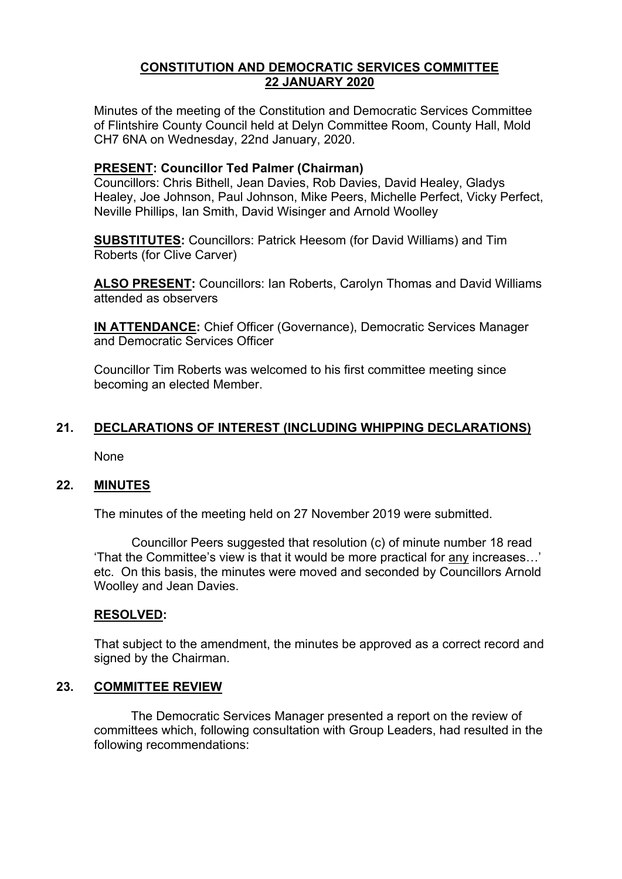## **CONSTITUTION AND DEMOCRATIC SERVICES COMMITTEE 22 JANUARY 2020**

Minutes of the meeting of the Constitution and Democratic Services Committee of Flintshire County Council held at Delyn Committee Room, County Hall, Mold CH7 6NA on Wednesday, 22nd January, 2020.

## **PRESENT: Councillor Ted Palmer (Chairman)**

Councillors: Chris Bithell, Jean Davies, Rob Davies, David Healey, Gladys Healey, Joe Johnson, Paul Johnson, Mike Peers, Michelle Perfect, Vicky Perfect, Neville Phillips, Ian Smith, David Wisinger and Arnold Woolley

**SUBSTITUTES:** Councillors: Patrick Heesom (for David Williams) and Tim Roberts (for Clive Carver)

**ALSO PRESENT:** Councillors: Ian Roberts, Carolyn Thomas and David Williams attended as observers

**IN ATTENDANCE:** Chief Officer (Governance), Democratic Services Manager and Democratic Services Officer

Councillor Tim Roberts was welcomed to his first committee meeting since becoming an elected Member.

# **21. DECLARATIONS OF INTEREST (INCLUDING WHIPPING DECLARATIONS)**

None

### **22. MINUTES**

The minutes of the meeting held on 27 November 2019 were submitted.

Councillor Peers suggested that resolution (c) of minute number 18 read 'That the Committee's view is that it would be more practical for any increases…' etc. On this basis, the minutes were moved and seconded by Councillors Arnold Woolley and Jean Davies.

### **RESOLVED:**

That subject to the amendment, the minutes be approved as a correct record and signed by the Chairman.

### **23. COMMITTEE REVIEW**

The Democratic Services Manager presented a report on the review of committees which, following consultation with Group Leaders, had resulted in the following recommendations: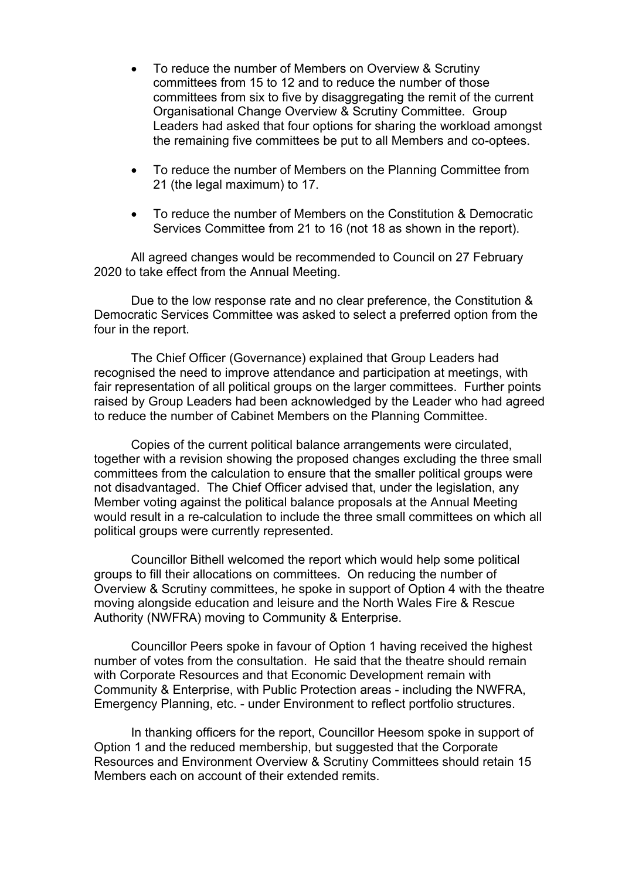- To reduce the number of Members on Overview & Scrutiny committees from 15 to 12 and to reduce the number of those committees from six to five by disaggregating the remit of the current Organisational Change Overview & Scrutiny Committee. Group Leaders had asked that four options for sharing the workload amongst the remaining five committees be put to all Members and co-optees.
- To reduce the number of Members on the Planning Committee from 21 (the legal maximum) to 17.
- To reduce the number of Members on the Constitution & Democratic Services Committee from 21 to 16 (not 18 as shown in the report).

All agreed changes would be recommended to Council on 27 February 2020 to take effect from the Annual Meeting.

Due to the low response rate and no clear preference, the Constitution & Democratic Services Committee was asked to select a preferred option from the four in the report.

The Chief Officer (Governance) explained that Group Leaders had recognised the need to improve attendance and participation at meetings, with fair representation of all political groups on the larger committees. Further points raised by Group Leaders had been acknowledged by the Leader who had agreed to reduce the number of Cabinet Members on the Planning Committee.

Copies of the current political balance arrangements were circulated, together with a revision showing the proposed changes excluding the three small committees from the calculation to ensure that the smaller political groups were not disadvantaged. The Chief Officer advised that, under the legislation, any Member voting against the political balance proposals at the Annual Meeting would result in a re-calculation to include the three small committees on which all political groups were currently represented.

Councillor Bithell welcomed the report which would help some political groups to fill their allocations on committees. On reducing the number of Overview & Scrutiny committees, he spoke in support of Option 4 with the theatre moving alongside education and leisure and the North Wales Fire & Rescue Authority (NWFRA) moving to Community & Enterprise.

Councillor Peers spoke in favour of Option 1 having received the highest number of votes from the consultation. He said that the theatre should remain with Corporate Resources and that Economic Development remain with Community & Enterprise, with Public Protection areas - including the NWFRA, Emergency Planning, etc. - under Environment to reflect portfolio structures.

In thanking officers for the report, Councillor Heesom spoke in support of Option 1 and the reduced membership, but suggested that the Corporate Resources and Environment Overview & Scrutiny Committees should retain 15 Members each on account of their extended remits.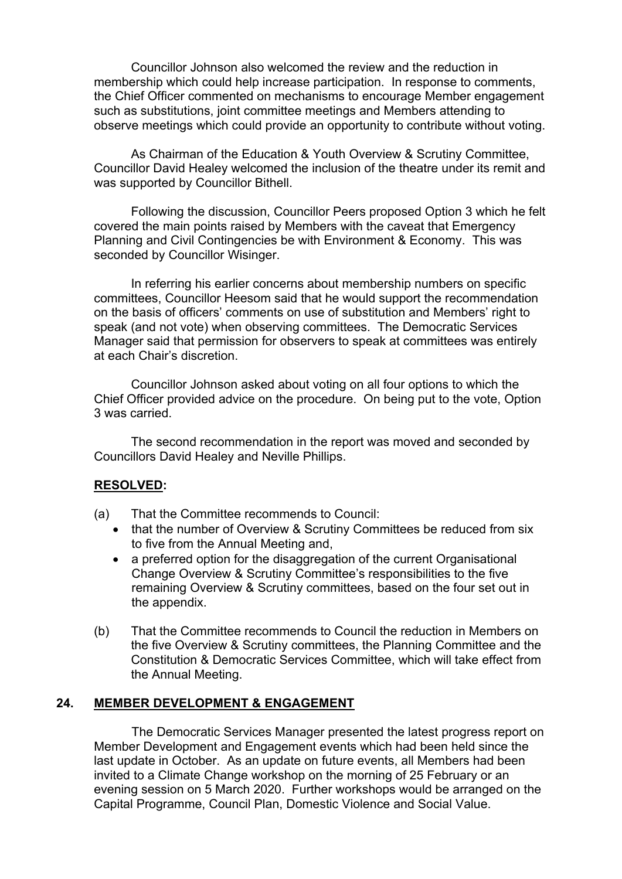Councillor Johnson also welcomed the review and the reduction in membership which could help increase participation. In response to comments, the Chief Officer commented on mechanisms to encourage Member engagement such as substitutions, joint committee meetings and Members attending to observe meetings which could provide an opportunity to contribute without voting.

As Chairman of the Education & Youth Overview & Scrutiny Committee, Councillor David Healey welcomed the inclusion of the theatre under its remit and was supported by Councillor Bithell.

Following the discussion, Councillor Peers proposed Option 3 which he felt covered the main points raised by Members with the caveat that Emergency Planning and Civil Contingencies be with Environment & Economy. This was seconded by Councillor Wisinger.

In referring his earlier concerns about membership numbers on specific committees, Councillor Heesom said that he would support the recommendation on the basis of officers' comments on use of substitution and Members' right to speak (and not vote) when observing committees. The Democratic Services Manager said that permission for observers to speak at committees was entirely at each Chair's discretion.

Councillor Johnson asked about voting on all four options to which the Chief Officer provided advice on the procedure. On being put to the vote, Option 3 was carried.

The second recommendation in the report was moved and seconded by Councillors David Healey and Neville Phillips.

#### **RESOLVED:**

- (a) That the Committee recommends to Council:
	- that the number of Overview & Scrutiny Committees be reduced from six to five from the Annual Meeting and,
	- a preferred option for the disaggregation of the current Organisational Change Overview & Scrutiny Committee's responsibilities to the five remaining Overview & Scrutiny committees, based on the four set out in the appendix.
- (b) That the Committee recommends to Council the reduction in Members on the five Overview & Scrutiny committees, the Planning Committee and the Constitution & Democratic Services Committee, which will take effect from the Annual Meeting.

### **24. MEMBER DEVELOPMENT & ENGAGEMENT**

The Democratic Services Manager presented the latest progress report on Member Development and Engagement events which had been held since the last update in October. As an update on future events, all Members had been invited to a Climate Change workshop on the morning of 25 February or an evening session on 5 March 2020. Further workshops would be arranged on the Capital Programme, Council Plan, Domestic Violence and Social Value.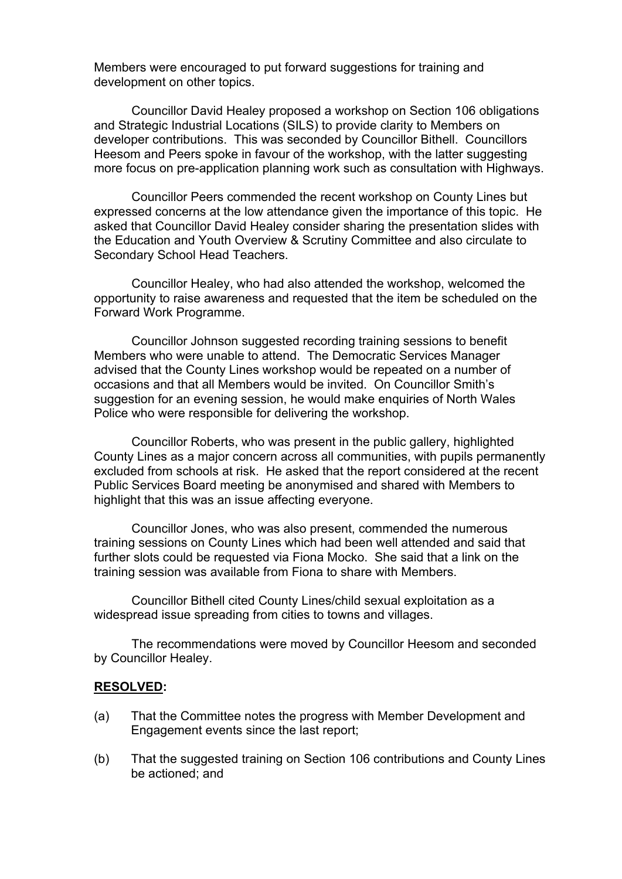Members were encouraged to put forward suggestions for training and development on other topics.

Councillor David Healey proposed a workshop on Section 106 obligations and Strategic Industrial Locations (SILS) to provide clarity to Members on developer contributions. This was seconded by Councillor Bithell. Councillors Heesom and Peers spoke in favour of the workshop, with the latter suggesting more focus on pre-application planning work such as consultation with Highways.

Councillor Peers commended the recent workshop on County Lines but expressed concerns at the low attendance given the importance of this topic. He asked that Councillor David Healey consider sharing the presentation slides with the Education and Youth Overview & Scrutiny Committee and also circulate to Secondary School Head Teachers.

Councillor Healey, who had also attended the workshop, welcomed the opportunity to raise awareness and requested that the item be scheduled on the Forward Work Programme.

Councillor Johnson suggested recording training sessions to benefit Members who were unable to attend. The Democratic Services Manager advised that the County Lines workshop would be repeated on a number of occasions and that all Members would be invited. On Councillor Smith's suggestion for an evening session, he would make enquiries of North Wales Police who were responsible for delivering the workshop.

Councillor Roberts, who was present in the public gallery, highlighted County Lines as a major concern across all communities, with pupils permanently excluded from schools at risk. He asked that the report considered at the recent Public Services Board meeting be anonymised and shared with Members to highlight that this was an issue affecting everyone.

Councillor Jones, who was also present, commended the numerous training sessions on County Lines which had been well attended and said that further slots could be requested via Fiona Mocko. She said that a link on the training session was available from Fiona to share with Members.

Councillor Bithell cited County Lines/child sexual exploitation as a widespread issue spreading from cities to towns and villages.

The recommendations were moved by Councillor Heesom and seconded by Councillor Healey.

#### **RESOLVED:**

- (a) That the Committee notes the progress with Member Development and Engagement events since the last report;
- (b) That the suggested training on Section 106 contributions and County Lines be actioned; and